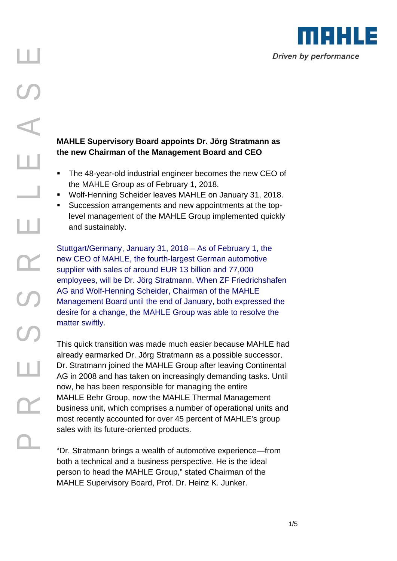

# **the new Chairman of the Management Board and CEO**

- **The 48-year-old industrial engineer becomes the new CEO of** the MAHLE Group as of February 1, 2018.
- Wolf-Henning Scheider leaves MAHLE on January 31, 2018.
- Succession arrangements and new appointments at the toplevel management of the MAHLE Group implemented quickly and sustainably.

Stuttgart/Germany, January 31, 2018 – As of February 1, the new CEO of MAHLE, the fourth-largest German automotive supplier with sales of around EUR 13 billion and 77,000 employees, will be Dr. Jörg Stratmann. When ZF Friedrichshafen AG and Wolf-Henning Scheider, Chairman of the MAHLE Management Board until the end of January, both expressed the desire for a change, the MAHLE Group was able to resolve the matter swiftly.

**PARTIC SUPER SUPER COMPTAND INTER SUPER SUPER SUPER SUPER SUPER AND THE A S A SUPER COMPTAND INTERENT COMPTAND INTERENT COMPTAND INTERENT COMPTAND INTERENT COMPTAND INTERENT COMPTAND INTERENT COMPTAND INTERENT COMPTAND IN** This quick transition was made much easier because MAHLE had already earmarked Dr. Jörg Stratmann as a possible successor. Dr. Stratmann joined the MAHLE Group after leaving Continental AG in 2008 and has taken on increasingly demanding tasks. Until now, he has been responsible for managing the entire MAHLE Behr Group, now the MAHLE Thermal Management business unit, which comprises a number of operational units and most recently accounted for over 45 percent of MAHLE's group sales with its future-oriented products.

"Dr. Stratmann brings a wealth of automotive experience—from both a technical and a business perspective. He is the ideal person to head the MAHLE Group," stated Chairman of the MAHLE Supervisory Board, Prof. Dr. Heinz K. Junker.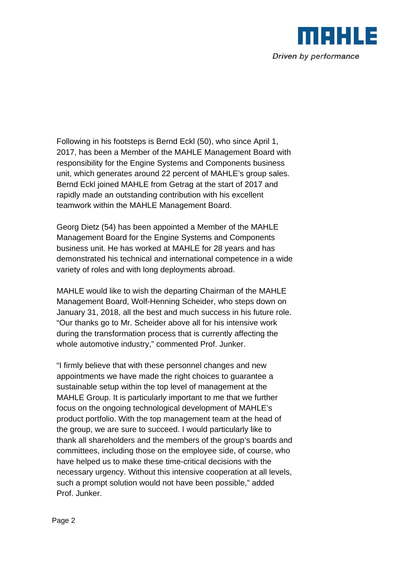

Following in his footsteps is Bernd Eckl (50), who since April 1, 2017, has been a Member of the MAHLE Management Board with responsibility for the Engine Systems and Components business unit, which generates around 22 percent of MAHLE's group sales. Bernd Eckl joined MAHLE from Getrag at the start of 2017 and rapidly made an outstanding contribution with his excellent teamwork within the MAHLE Management Board.

Georg Dietz (54) has been appointed a Member of the MAHLE Management Board for the Engine Systems and Components business unit. He has worked at MAHLE for 28 years and has demonstrated his technical and international competence in a wide variety of roles and with long deployments abroad.

MAHLE would like to wish the departing Chairman of the MAHLE Management Board, Wolf-Henning Scheider, who steps down on January 31, 2018, all the best and much success in his future role. "Our thanks go to Mr. Scheider above all for his intensive work during the transformation process that is currently affecting the whole automotive industry," commented Prof. Junker.

"I firmly believe that with these personnel changes and new appointments we have made the right choices to guarantee a sustainable setup within the top level of management at the MAHLE Group. It is particularly important to me that we further focus on the ongoing technological development of MAHLE's product portfolio. With the top management team at the head of the group, we are sure to succeed. I would particularly like to thank all shareholders and the members of the group's boards and committees, including those on the employee side, of course, who have helped us to make these time-critical decisions with the necessary urgency. Without this intensive cooperation at all levels, such a prompt solution would not have been possible," added Prof. Junker.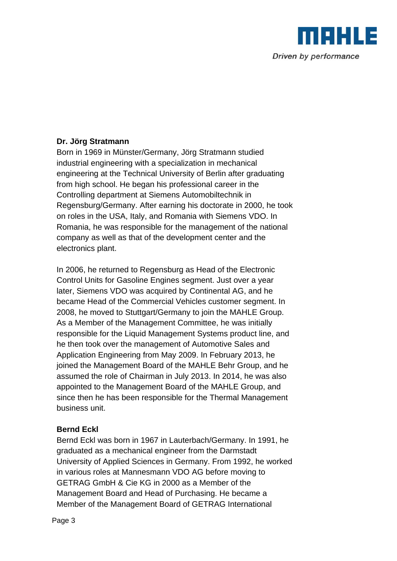

# **Dr. Jörg Stratmann**

Born in 1969 in Münster/Germany, Jörg Stratmann studied industrial engineering with a specialization in mechanical engineering at the Technical University of Berlin after graduating from high school. He began his professional career in the Controlling department at Siemens Automobiltechnik in Regensburg/Germany. After earning his doctorate in 2000, he took on roles in the USA, Italy, and Romania with Siemens VDO. In Romania, he was responsible for the management of the national company as well as that of the development center and the electronics plant.

In 2006, he returned to Regensburg as Head of the Electronic Control Units for Gasoline Engines segment. Just over a year later, Siemens VDO was acquired by Continental AG, and he became Head of the Commercial Vehicles customer segment. In 2008, he moved to Stuttgart/Germany to join the MAHLE Group. As a Member of the Management Committee, he was initially responsible for the Liquid Management Systems product line, and he then took over the management of Automotive Sales and Application Engineering from May 2009. In February 2013, he joined the Management Board of the MAHLE Behr Group, and he assumed the role of Chairman in July 2013. In 2014, he was also appointed to the Management Board of the MAHLE Group, and since then he has been responsible for the Thermal Management business unit.

# **Bernd Eckl**

Bernd Eckl was born in 1967 in Lauterbach/Germany. In 1991, he graduated as a mechanical engineer from the Darmstadt University of Applied Sciences in Germany. From 1992, he worked in various roles at Mannesmann VDO AG before moving to GETRAG GmbH & Cie KG in 2000 as a Member of the Management Board and Head of Purchasing. He became a Member of the Management Board of GETRAG International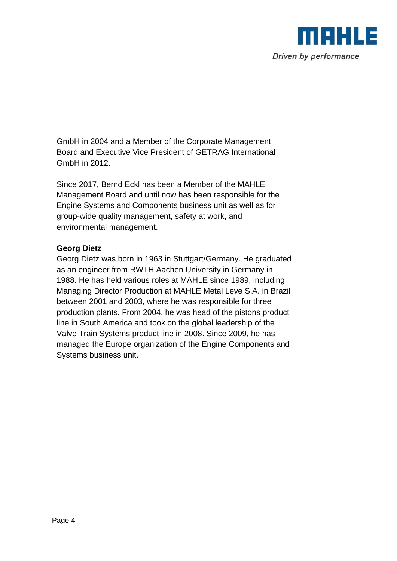

GmbH in 2004 and a Member of the Corporate Management Board and Executive Vice President of GETRAG International GmbH in 2012.

Since 2017, Bernd Eckl has been a Member of the MAHLE Management Board and until now has been responsible for the Engine Systems and Components business unit as well as for group-wide quality management, safety at work, and environmental management.

### **Georg Dietz**

Georg Dietz was born in 1963 in Stuttgart/Germany. He graduated as an engineer from RWTH Aachen University in Germany in 1988. He has held various roles at MAHLE since 1989, including Managing Director Production at MAHLE Metal Leve S.A. in Brazil between 2001 and 2003, where he was responsible for three production plants. From 2004, he was head of the pistons product line in South America and took on the global leadership of the Valve Train Systems product line in 2008. Since 2009, he has managed the Europe organization of the Engine Components and Systems business unit.